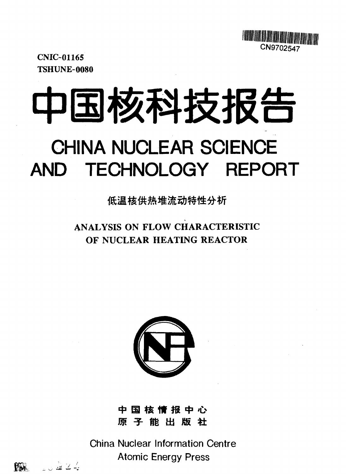

CNIC-01165 TSHUNE-0080

# 中国核科技报告 **CHINA NUCLEAR SCIENCE AND TECHNOLOGY REPORT**

低温核供热堆流动特性分析

**ANALYSIS ON FLOW CHARACTERISTIC OF NUCLEAR HEATING REACTOR**



中 国 核 **情** 报 中 心 原子能出版社

China Nuclear Information Centre Atomic Energy Press

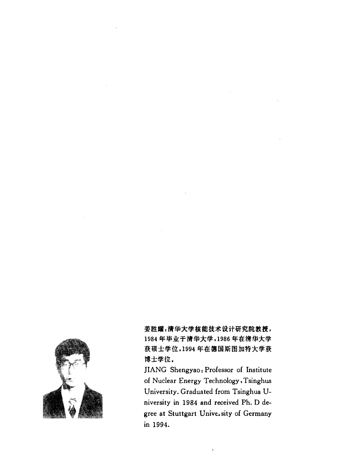

姜胜耀:清华大学核能技术设计研究院教授, 1984年毕业于清华大学,1986年在清华大学 获硕士学位,1994年在德国斯图加特大学获 博士学位。

JIANG Shengyao: Professor of Institute of Nuclear Energy Technology, Tsinghua University. Graduated from Tsinghua University in 1984 and received Ph. D degree at Stuttgart Univeisity of Germany in 1994.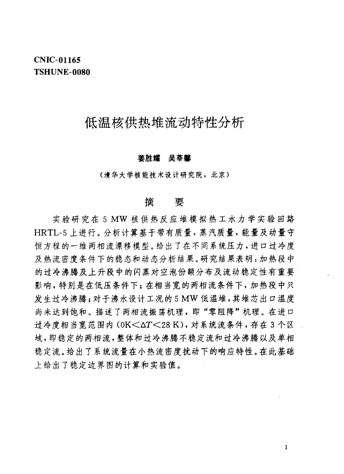# **CNIC-01165 TSHUNE-0080**

# 低温核供热堆流动特性分析

### 姜胜耀 吴莘馨

(清华大学核能技术设计研究院, 北京)

#### 摘 要

实验研究在5MW核供热反应堆模拟热工水力学实验回路 HRTL-5 上进行。分析计算基于带有质量,蒸汽质量,能量及动量守 恒方程的一维两相流漂移模型。给出了在不同系统压力,进口过冷度 及热流密度条件下的稳态和动态分析结果。研究结果表明: 加热段中 的过冷沸腾及上升段中的闪蒸对空泡份额分布及流动稳定性有重要 影响,特别是在低压条件下;在相当宽的两相流条件下,加热段中只 发生过冷沸腾;对于沸水设计工况的5MW低温堆,其堆芯出口温度 尚未达到饱和。描述了两相流振荡机理,即"零阻降"机理。在进口 过冷度相当宽范围内 (OK<ΔT<28 K), 对系统流条件, 存在3个区 域,即稳定的两相流,整体和过冷沸腾不稳定流和过冷沸腾以及单相 稳定流。给出了系统流量在小热流密度扰动下的响应特性。在此基础 上给出了稳定边界图的计算和实验值。

 $\mathbf{1}$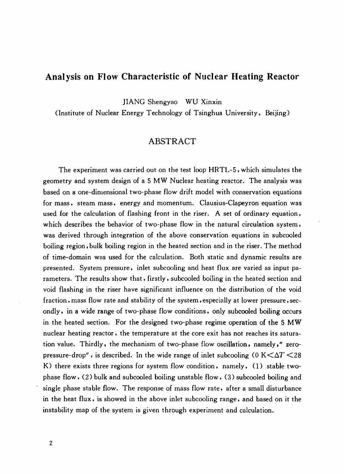# **Analysis on Flow Characteristic of Nuclear Heating Reactor**

JIANG Shengyao WU Xinxin

(Institute of Nuclear Energy Technology of Tsinghua University, Beijing)

# **ABSTRACT**

The experiment was carried out on the test loop HRTL-5, which simulates the geometry and system design of a 5 MW Nuclear heating reactor. The analysis was based on a one-dimensional two-phase flow drift model with conservation equations for mass, steam mass, energy and momentum. Clausius-Clapeyron equation was used for the calculation of flashing front in the riser. A set of ordinary equation, which describes the behavior of two-phase flow in the natural circulation system, was derived through integration of the above conservation equations in subcooled boiling region,bulk boiling region in the heated section and in the riser. The method of time-domain was used for the calculation. Both static and dynamic results are presented. System pressure, inlet subcooling and heat flux are varied as input parameters. The results show that, firstly, subcooled boiling in the heated section and void flashing in the riser have significant influence on the distribution of the void fraction, mass flow rate and stability of the system, especially at lower pressure, secondly, in a wide range of two-phase flow conditions, only subcooled boiling occurs in the heated section. For the designed two-phase regime operation of the 5 MW nuclear heating reactor, the temperature at the core exit has not reaches its saturation value. Thirdly, the mechanism of two-phase flow oscillation, namely," zeropressure-drop", is described. In the wide range of inlet subcooling (0  $K < \Delta T < 28$ ) K) there exists three regions for system flow condition, namely, (1) stable twophase flow, (2) bulk and subcooled boiling unstable flow, (3) subcooled boiling and single phase stable flow. The response of mass flow rate, after a small disturbance in the heat flux, is showed in the above inlet subcooling range, and based on it the instability map of the system is given through experiment and calculation.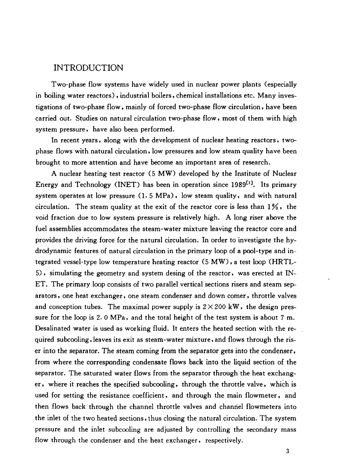# INTRODUCTION

Two-phase flow systems have widely used in nuclear power plants (especially in boiling water reactors) , industrial boilers, chemical installations etc. Many investigations of two-phase flow, mainly of forced two-phase flow circulation, have been carried out. Studies on natural circulation two-phase flow, most of them with high system pressure, have also been performed.

In recent years, along with the development of nuclear heating reactors, twophase flows with natural circulation, low pressures and low steam quality have been brought to more attention and have become an important area of research.

A nuclear heating test reactor (5 MW) developed by the Institute of Nuclear Energy and Technology (INET) has been in operation since 1989<sup>[1]</sup>. Its primary system operates at low pressure (1. 5 MPa) • low steam quality, and with natural circulation. The steam quality at the exit of the reactor core is less than 1 *%*, the void fraction due to low system pressure is relatively high. A long riser above the fuel assemblies accommodates the steam-water mixture leaving the reactor core and provides the driving force for the natural circulation. In order to investigate the hydrodynamic features of natural circulation in the primary loop of a pool-type and integrated vessel-type low temperature heating reactor (5 MW), a test loop (HRTL-5), simulating the geometry and system desing of the reactor, was erected at IN-ET. The primary loop consists of two parallel vertical sections risers and steam separators, one heat exchanger, one steam condenser and down comer, throttle valves and conception tubes. The maximal power supply is  $2 \times 200$  kW, the design pressure for the loop is 2. 0 MPa, and the total height of the test system is about 7 m. Desalinated water is used as working fluid. It enters the heated section with the required subcooling, leaves its exit as steam-water mixture, and flows through the riser into the separator. The steam coming from the separator gets into the condenser, from where the corresponding condensate flows back into the liquid section of the separator. The saturated water flows from the separator through the heat exchanger, where it reaches the specified subcooling, through the throttle valve, which is used for setting the resistance coefficient, and through the main flowmeter, and then flows back through the channel throttle valves and channel flowmeters into the inlet of the two heated sections, thus closing the natural circulation. The system pressure and the inlet subcooling are adjusted by controlling the secondary mass flow through the condenser and the heat exchanger, respectively.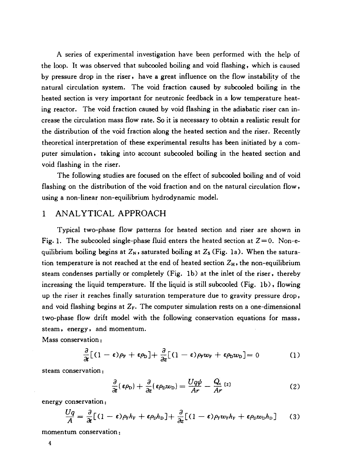A series of experimental investigation have been performed with the help of the loop. It was observed that subcooled boiling and void flashing, which is caused by pressure drop in the riser, have a great influence on the flow instability of the natural circulation system. The void fraction caused by subcooled boiling in the heated section is very important for neutronic feedback in a low temperature heating reactor. The void fraction caused by void flashing in the adiabatic riser can increase the circulation mass flow rate. So it is necessary to obtain a realistic result for the distribution of the void fraction along the heated section and the riser. Recently theoretical interpretation of these experimental results has been initiated by a computer simulation, taking into account subcooled boiling in the heated section and void flashing in the riser.

The following studies are focused on the effect of subcooled boiling and of void flashing on the distribution of the void fraction and on the natural circulation flow, using a non-linear non-equilibrium hydrodynamic model.

## 1 ANALYTICAL APPROACH

Typical two-phase flow patterns for heated section and riser are shown in Fig. 1. The subcooled single-phase fluid enters the heated section at  $Z=0$ . Non-equilibrium boiling begins at *Zs*» saturated boiling at Zs (Fig. la). When the saturation temperature is not reached at the end of heated section  $Z_H$ , the non-equilibrium steam condenses partially or completely (Fig. lb) at the inlet of the riser, thereby increasing the liquid temperature. If the liquid is still subcooled (Fig. lb) , flowing up the riser it reaches finally saturation temperature due to gravity pressure drop, and void flashing begins at  $Z_F$ . The computer simulation rests on a one-dimensional two-phase flow drift model with the following conservation equations for mass, steam, energy, and momentum.

Mass conservation:

$$
\frac{\partial}{\partial t}[(1-\epsilon)\rho_{\rm F}+\epsilon\rho_{\rm D}]+\frac{\partial}{\partial z}[(1-\epsilon)\rho_{\rm F}w_{\rm F}+\epsilon\rho_{\rm D}w_{\rm D}]=0 \qquad (1)
$$

steam conservation:

$$
\frac{\partial}{\partial t}(\epsilon \rho_{\rm D}) + \frac{\partial}{\partial z}(\epsilon \rho_{\rm D} w_{\rm D}) = \frac{Uq\psi}{Ar} - \frac{Q_{\rm c}}{Ar}\tag{2}
$$

energy conservation;

$$
\frac{Uq}{A} = \frac{\partial}{\partial t} \left[ (1 - \epsilon) \rho_{\rm r} h_{\rm F} + \epsilon \rho_{\rm D} h_{\rm D} \right] + \frac{\partial}{\partial z} \left[ (1 - \epsilon) \rho_{\rm F} w_{\rm F} h_{\rm F} + \epsilon \rho_{\rm D} w_{\rm D} h_{\rm D} \right] \tag{3}
$$

momentum conservation: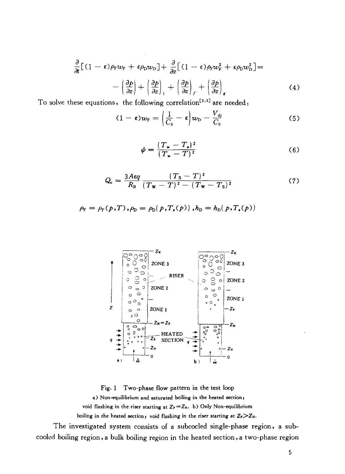$$
\frac{\partial}{\partial t} [(1 - \varepsilon)\rho_{F} w_{F} + \varepsilon \rho_{D} w_{D}] + \frac{\partial}{\partial z} [(1 - \varepsilon)\rho_{F} w_{F}^{2} + \varepsilon \rho_{D} w_{D}^{2}] =
$$

$$
- \left(\frac{\partial p}{\partial z}\right) + \left(\frac{\partial p}{\partial z}\right)_{I} + \left(\frac{\partial p}{\partial z}\right)_{f} + \left(\frac{\partial p}{\partial z}\right)_{g}
$$
(4)

To solve these equations, the following correlation<sup>[2,3]</sup> are needed;

$$
(1 - \varepsilon)w_{\rm F} = \left(\frac{1}{C_{\rm o}} - \varepsilon\right)w_{\rm D} - \frac{V_{\rm dj}}{C_{\rm o}}\tag{5}
$$

$$
\psi = \frac{(T_{\mathbf{w}} - T_{\mathbf{a}})^2}{(T_{\mathbf{w}} - T)^2} \tag{6}
$$

$$
Q_{\rm c} = \frac{3A\epsilon q}{R_{\rm B}} \frac{(T_{\rm S} - T)^2}{(T_{\rm W} - T)^2 - (T_{\rm W} - T_{\rm S})^2}
$$
(7)

$$
\rho_{\rm F} = \rho_{\rm F}(p, T), \rho_{\rm D} = \rho_{\rm D}(p, T_{\rm s}(p)), h_{\rm D} = h_{\rm D}(p, T_{\rm s}(p))
$$



Fig. 1 Two-phase flow pattern in the test loop a) Non-equilibrium and saturated boiling in the heated section; void flashing in the riser starting at  $Z_F = Z_H$ . b) Only Non-equilibrium boiling in the heated section, void flashing in the riser starting at  $Z_F > Z_H$ .

The investigated system consists of a subcocled single-phase region, a subcooled boiling region,a bulk boiling region in the heated section,a two-phase region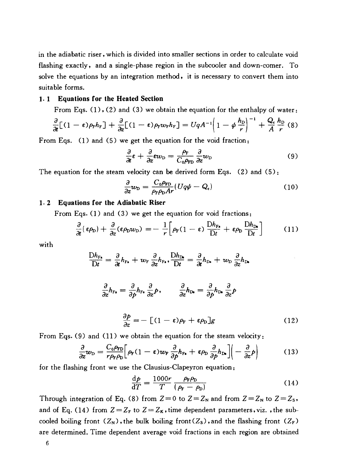in the adiabatic riser, which is divided into smaller sections in order to calculate void flashing exactly, and a single-phase region in the subcooler and down-comer. To solve the equations by an integration method, it is necessary to convert them into suitable forms.

#### **1. 1 Equations for the Heated Section**

From Eqs.  $(1)$ ,  $(2)$  and  $(3)$  we obtain the equation for the enthalpy of water:

$$
\frac{\partial}{\partial t}[(1-\epsilon)\rho_{\rm F}h_{\rm F}]+\frac{\partial}{\partial z}[(1-\epsilon)\rho_{\rm F}\omega_{\rm F}h_{\rm F}]=UqA^{-1}\left(1-\phi\,\frac{h_{\rm D}}{r}\right)^{-1}+\frac{Q_{\rm c}}{A}\frac{h_{\rm D}}{r}(8)
$$

From Eqs. (1) and (5) we get the equation for the void fraction:

$$
\frac{\partial}{\partial t}\varepsilon + \frac{\partial}{\partial z}\varepsilon w_{\rm D} = \frac{\rho_{\rm F}}{C_0\rho_{\rm FD}}\frac{\partial}{\partial z}w_{\rm D}
$$
(9)

The equation for the steam velocity can be derived form Eqs. (2) and  $(5)$ :

$$
\frac{\partial}{\partial z}w_{\rm D} = \frac{C_0 \rho_{\rm FD}}{\rho_{\rm F} \rho_{\rm D} A r} (U q \phi - Q_{\rm c}) \tag{10}
$$

#### **1. 2 Equations for the Adiabatic Riser**

From Eqs. (1) and (3) we get the equation for void fractions:

$$
\frac{\partial}{\partial t}(\epsilon \rho_{\rm D}) + \frac{\partial}{\partial z}(\epsilon \rho_{\rm D} w_{\rm D}) = -\frac{1}{r} \Big[ \rho_{\rm F} (1-\epsilon) \, \frac{\mathrm{D} h_{\rm F}}{\mathrm{D} t} + \epsilon \rho_{\rm D} \, \frac{\mathrm{D} h_{\rm D}}{\mathrm{D} t} \Big] \tag{11}
$$

with

$$
\frac{Dh_{F_s}}{Dt} = \frac{\partial}{\partial t}h_{F_s} + w_F \frac{\partial}{\partial z}h_{F_s}, \frac{Dh_{D_s}}{Dt} = \frac{\partial}{\partial t}h_{D_s} + w_D \frac{\partial}{\partial z}h_{D_s}
$$

$$
\frac{\partial}{\partial z}h_{F_s} = \frac{\partial}{\partial p}h_{F_s}\frac{\partial}{\partial z}p, \qquad \frac{\partial}{\partial z}h_{D_s} = \frac{\partial}{\partial p}h_{D_s}\frac{\partial}{\partial z}p
$$

$$
\frac{\partial p}{\partial z} = -\left[ (1 - \epsilon)\rho_F + \epsilon \rho_D \right]g \tag{12}
$$

From Eqs. (9) and (11) we obtain the equation for the steam velocity:

$$
\frac{\partial}{\partial z}w_{\rm D} = \frac{C_0 \rho_{\rm FD}}{r \rho_{\rm F} \rho_{\rm D}} \Big[ \rho_{\rm F} (1 - \epsilon) w_{\rm F} \frac{\partial}{\partial p} h_{\rm F} + \epsilon \rho_{\rm D} \frac{\partial}{\partial p} h_{\rm D} \Big] \Big( - \frac{\partial}{\partial z} p \Big) \tag{13}
$$

for the flashing front we use the Clausius-Clapeyron equation:

$$
\frac{\mathrm{d}p}{\mathrm{d}T} = \frac{1000r}{T} \frac{\rho_{\rm F}\rho_{\rm D}}{(\rho_{\rm F} - \rho_{\rm D})} \tag{14}
$$

Through integration of Eq. (8) from  $Z=0$  to  $Z=Z_N$  and from  $Z=Z_N$  to  $Z=Z_S$ , and of Eq. (14) from  $Z = Z_F$  to  $Z = Z_K$ , time dependent parameters, viz., the subcooled boiling front  $(Z_N)$ , the bulk boiling front  $(Z_S)$ , and the flashing front  $(Z_F)$ are determined. Time dependent average void fractions in each region are obtained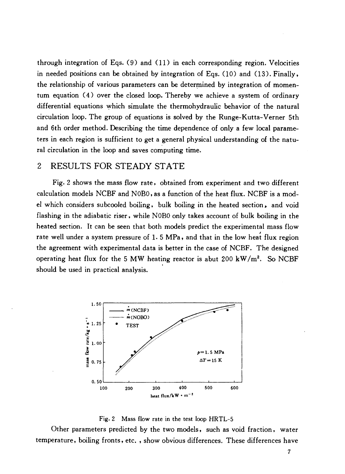through integration of Eqs. (9) and (11) in each corresponding region. Velocities in needed positions can be obtained by integration of Eqs. (10) and (13). Finally, the relationship of various parameters can be determined by integration of momentum equation (4) over the closed loop. Thereby we achieve a system of ordinary differential equations which simulate the thermohydraulic behavior of the natural circulation loop. The group of equations is solved by the Runge-Kutta-Verner 5th and 6th order method. Describing the time dependence of only a few local parameters in each region is sufficient to get a general physical understanding of the natural circulation in the loop and saves computing time.

# 2 RESULTS FOR STEADY STATE

Fig. 2 shows the mass flow rate, obtained from experiment and two different calculation models NCBF and NOBO, as a function of the heat flux. NCBF is a model which considers subcooled boiling, bulk boiling in the heated section, and void flashing in the adiabatic riser, while NOBO only takes account of bulk boiling in the heated section. It can be seen that both models predict the experimental mass flow rate well under a system pressure of 1. 5 MPa, and that in the low heat flux region the agreement with experimental data is better in the case of NCBF. The designed operating heat flux for the 5 MW heating reactor is abut 200  $\text{kW/m}^2$ . So NCBF should be used in practical analysis.





Other parameters predicted by the two models, such as void fraction, water temperature, boiling fronts, etc. , show obvious differences. These differences have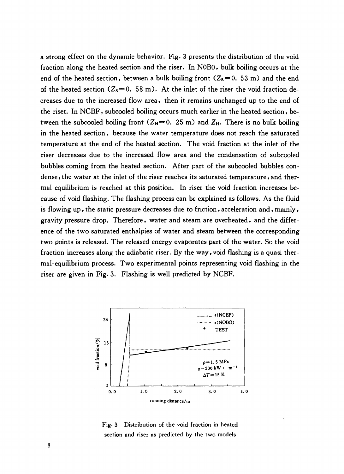a strong effect on the dynamic behavior. Fig. 3 presents the distribution of the void fraction along the heated section and the riser. In NOBO, bulk boiling occurs at the end of the heated section, between a bulk boiling front  $(Z_s=0.53 \text{ m})$  and the end of the heated section  $(Z_s = 0.58 \text{ m})$ . At the inlet of the riser the void fraction decreases due to the increased flow area, then it remains unchanged up to the end of the riset. In NCBF, subcooled boiling occurs much earlier in the heated section, between the subcooled boiling front  $(Z_N = 0.25 \text{ m})$  and  $Z_H$ . There is no bulk boiling in the heated section, because the water temperature does not reach the saturated temperature at the end of the heated section. The void fraction at the inlet of the riser decreases due to the increased flow area and the condensation of subcooled bubbles coming from the heated section. After part of the subcooled bubbles condense , the water at the inlet of the riser reaches its saturated temperature, and thermal equilibrium is reached at this position. In riser the void fraction increases because of void flashing. The flashing process can be explained as follows. As the fluid is flowing up, the static pressure decreases due to friction, acceleration and, mainly, gravity pressure drop. Therefore, water and steam are overheated, and the difference of the two saturated enthalpies of water and steam between the corresponding two points is released. The released energy evaporates part of the water. So the void fraction increases along the adiabatic riser. By the way, void flashing is a quasi thermal-equilibrium process. Two experimental points representing void flashing in the riser are given in Fig. 3. Flashing is well predicted by NCBF.



Fig. 3 Distribution of the void fraction in heated section and riser as predicted by the two models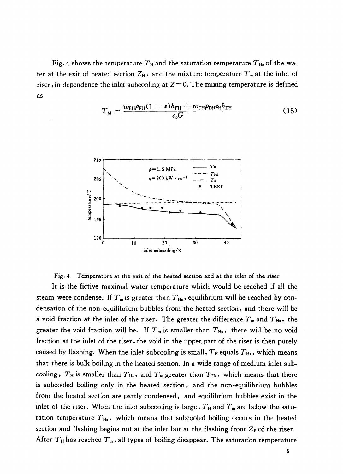Fig. 4 shows the temperature  $T_H$  and the saturation temperature  $T_H$  of the water at the exit of heated section  $Z_H$ , and the mixture temperature  $T_m$  at the inlet of riser, in dependence the inlet subcooling at  $Z=0$ . The mixing temperature is defined as

$$
T_M = \frac{w_{\text{FH}}\rho_{\text{FH}}(1-\epsilon)h_{\text{FH}} + w_{\text{DH}}\rho_{\text{DH}}\epsilon_{\text{H}}h_{\text{DH}}}{c_p G}
$$
(15)





It is the fictive maximal water temperature which would be reached if all the steam were condense. If  $T_m$  is greater than  $T_{H_s}$ , equilibrium will be reached by condensation of the non-equilibrium bubbles from the heated section, and there will be a void fraction at the inlet of the riser. The greater the difference  $T<sub>m</sub>$  and  $T<sub>H<sub>s</sub></sub>$ , the greater the void fraction will be. If  $T_m$  is smaller than  $T_{H_s}$ , there will be no void fraction at the inlet of the riser, the void in the upper, part of the riser is then purely caused by flashing. When the inlet subcooling is small,  $T_H$  equals  $T_H$ , which means that there is bulk boiling in the heated section. In a wide range of medium inlet subcooling,  $T_H$  is smaller than  $T_H$ , and  $T_m$  greater than  $T_H$ , which means that there is subcooled boiling only in the heated section, and the non-equilibrium bubbles from the heated section are partly condensed, and equilibrium bubbles exist in the inlet of the riser. When the inlet subcooling is large,  $T_H$  and  $T_m$  are below the saturation temperature  $T_{H_0}$ , which means that subcooled boiling occurs in the heated section and flashing begins not at the inlet but at the flashing front  $Z_F$  of the riser. After  $T_H$  has reached  $T_m$ , all types of boiling disappear. The saturation temperature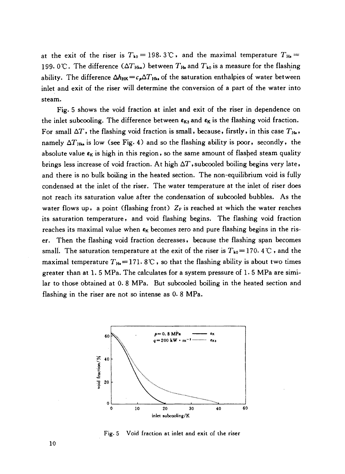at the exit of the riser is  $T_{k0} = 198.3$  C, and the maximal temperature  $T_{H_0} =$ 199. 0°C. The difference  $(\Delta T_{Hks})$  between  $T_{Hs}$  and  $T_{k0}$  is a measure for the flashing ability. The difference  $\Delta h_{HK} = c_A \Delta T_{Hks}$  of the saturation enthalpies of water between inlet and exit of the riser will determine the conversion of a part of the water into steam.

Fig. 5 shows the void fraction at inlet and exit of the riser in dependence on the inlet subcooling. The difference between  $\epsilon_{K3}$  and  $\epsilon_K$  is the flashing void fraction. For small  $\Delta T$ , the flashing void fraction is small, because, firstly, in this case  $T_{\text{H}_8}$ , namely  $\Delta T_{Hks}$  is low (see Fig. 4) and so the flashing ability is poor, secondly, the absolute value  $\varepsilon_K$  is high in this region, so the same amount of flashed steam quality brings less increase of void fraction. At high  $\Delta T$ , subcooled boiling begins very late, and there is no bulk boiling in the heated section. The non-equilibrium void is fully condensed at the inlet of the riser. The water temperature at the inlet of riser does not reach its saturation value after the condensation of subcooled bubbles. As the water flows up, a point (flashing front)  $Z_F$  is reached at which the water reaches its saturation temperature, and void flashing begins. The flashing void fraction reaches its maximal value when  $\epsilon_K$  becomes zero and pure flashing begins in the riser. Then the flashing void fraction decreases, because the flashing span becomes small. The saturation temperature at the exit of the riser is  $T_{k0}= 170.4 \text{ C}$ , and the maximal temperature  $T_{\text{Hs}} = 171.8 \degree \text{C}$ , so that the flashing ability is about two times greater than at 1. 5 MPa. The calculates for a system pressure of 1. 5 MPa are similar to those obtained at 0. 8 MPa. But subcooled boiling in the heated section and flashing in the riser are not so intense as 0. 8 MPa.



Fig. 5 Void fraction at inlet and exit of the riser

10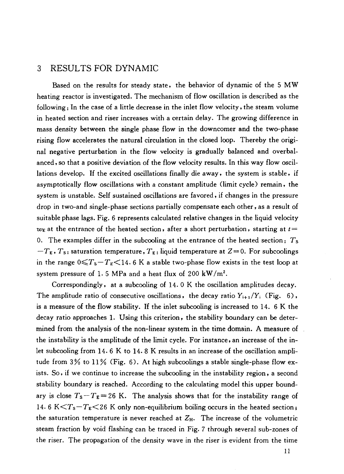# 3 RESULTS FOR DYNAMIC

Based on the results for steady state, the behavior of dynamic of the 5 MW heating reactor is investigated. The mechanism of flow oscillation is described as the following: In the case of a little decrease in the inlet flow velocity, the steam volume in heated section and riser increases with a certain delay. The growing difference in mass density between the single phase flow in the downcomer and the two-phase rising flow accelerates the natural circulation in the closed loop. Thereby the original negative perturbation in the flow velocity is gradually balanced and overbalanced , so that a positive deviation of the flow velocity results. In this way flow oscillations develop. If the excited oscillations finally die away, the system is stable, if asymptotically flow oscillations with a constant amplitude (limit cycle) remain, the system is unstable. Self sustained oscillations are favored, if changes in the pressure drop in two-and single-phase sections partially compensate each other, as a result of suitable phase lags. Fig. 6 represents calculated relative changes in the liquid velocity  $w_{\rm E}$  at the entrance of the heated section, after a short perturbation, starting at  $t=$ 0. The examples differ in the subcooling at the entrance of the heated section:  $T_s$  $-T_{\text{E}}$ ,  $T_{\text{s}}$ : saturation temperature,  $T_{\text{E}}$ : liquid temperature at  $Z=0$ . For subcoolings in the range  $0 \leq T_s - T_E \leq 14.6$  K a stable two-phase flow exists in the test loop at system pressure of 1.5 MPa and a heat flux of 200 kW/m<sup>2</sup>.

Correspondingly, at a subcooling of 14. 0 K the oscillation amplitudes decay. The amplitude ratio of consecutive oscillations, the decay ratio  $Y_{i+1}/Y_i$  (Fig. 6), is a measure of the flow stability. If the inlet subcooling is increased to 14. 6 K the decay ratio approaches 1. Using this criterion, the stability boundary can be determined from the analysis of the non-linear system in the time domain. A measure of the instability is the amplitude of the limit cycle. For instance, an increase of the inlet subcooling from 14.6 K to 14.8 K results in an increase of the oscillation amplitude from *3%* to 11% (Fig. 6). At high subcoolings a stable single-phase flow exists. So, if we continue to increase the subcooling in the instability region, a second stability boundary is reached. According to the calculating model this upper boundary is close  $T_s - T_E = 26$  K. The analysis shows that for the instability range of 14. 6 K $\leq T_s - T_E \leq 26$  K only non-equilibrium boiling occurs in the heated section; the saturation temperature is never reached at  $Z_H$ . The increase of the volumetric steam fraction by void flashing can be traced in Fig. 7 through several sub-zones of the riser. The propagation of the density wave in the riser is evident from the time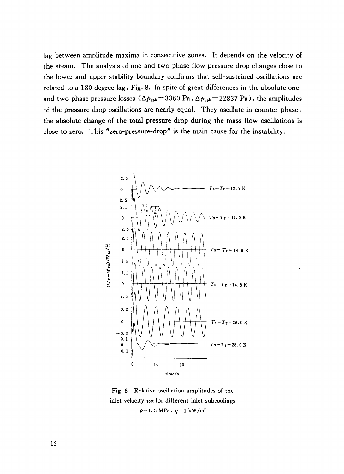lag between amplitude maxima in consecutive zones. It depends on the velocity of the steam. The analysis of one-and two-phase flow pressure drop changes close to the lower and upper stability boundary confirms that self-sustained oscillations are related to a 180 degree lag, Fig. 8. In spite of great differences in the absolute oneand two-phase pressure losses  $(\Delta p_{1ph} = 3360 \text{ Pa}$ ,  $\Delta p_{2ph} = 22837 \text{ Pa})$ , the amplitudes of the pressure drop oscillations are nearly equal. They oscillate in counter-phase, the absolute change of the total pressure drop during the mass flow oscillations is close to zero. This "zero-pressure-drop" is the main cause for the instability.



Fig. 6 Relative oscillation amplitudes of the inlet velocity  $w_{\text{E}}$  for different inlet subcoolings  $p=1.5$  MPa,  $q=1$  kW/m<sup>2</sup>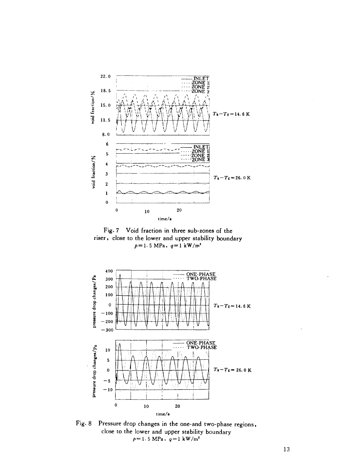

Fig. 7 Void fraction in three sub-zones of the riser, close to the lower and upper stability boundary  $p=1.5$  MPa,  $q=1$  kW/m<sup>2</sup>



Fig. 8 Pressure drop changes in the one-and two-phase regions, close to the lower and upper stability boundary  $p=1.5$  MPa,  $q=1$  kW/m<sup>2</sup>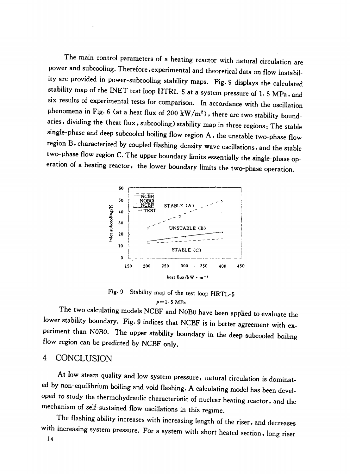The main control parameters of a heating reactor with natural circulation are power and subcooling. Therefore, experimental and theoretical data on flow instability are provided in power-subcooling stability maps. Fig. 9 displays the calculated stability map of the INET test loop HTRL-5 at a system pressure of 1. 5 MPa, and six results of experimental tests for comparison. In accordance with the oscillation phenomena in Fig. 6 (at a heat flux of 200 kW/m<sup>2</sup>), there are two stability boundaries, dividing the (heat flux, subcooling) stability map in three regions: The stable single-phase and deep subcooled boiling flow region A, the unstable two-phase flow region B, characterized by coupled flashing-density wave oscillations, and the stable two-phase flow region C. The upper boundary limits essentially the single-phase operation of a heating reactor, the lower boundary limits the two-phase operation.



Fig. 9 Stability map of the test loop HRTL-5  $p=1.5 \text{ MPa}$ 

The two calculating models NCBF and N0B0 have been applied to evaluate the lower stability boundary. Fig. 9 indices that NCBF is in better agreement with experiment than N0B0. The upper stability boundary in the deep subcooled boiling flow region can be predicted by NCBF only.

# 4 CONCLUSION

At low steam quality and low system pressure, natural circulation is dominated by non-equilibrium boiling and void flashing. A calculating model has been developed to study the thermohydraulic characteristic of nuclear heating reactor, and the mechanism of self-sustained flow oscillations in this regime.

The flashing ability increases with increasing length of the riser, and decreases with increasing system pressure. For a system with short heated section, long riser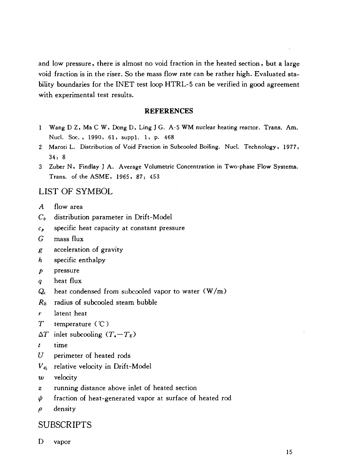and low pressure, there is almost no void fraction in the heated section, but a large void fraction is in the riser. So the mass flow rate can be rather high. Evaluated stability boundaries for the INET test loop HTRL-5 can be verified in good agreement with experimental test results.

#### **REFERENCES**

- 1 Wang D Z, Ma C W, Dong D, Ling J G. A-5 WM nuclear heating reactor. Trans. Am. Nucl. Soc. , 1990, 61, suppl. 1, p. 468
- 2 Maroti L. Distribution of Void Fraction in Subcooled Boiling. Nucl. Technology, 1977, 34: 8
- 3 Zuber N, Findlay J A. Average Volumetric Concentration in Two-phase Flow Systems. Trans, of the ASME, 1965, 87: 453

# LIST OF SYMBOL

- *A* flow area
- $C_0$  distribution parameter in Drift-Model
- *cp* specific heat capacity at constant pressure
- *G* mass flux
- *g* acceleration of gravity
- *h* specific enthalpy
- *p* pressure
- *q* heat flux
- $Q_c$  heat condensed from subcooled vapor to water  $(W/m)$
- *Rn* radius of subcooled steam bubble
- r latent heat
- *T* temperature ("C )
- $\Delta T$  inlet subcooling  $(T_{\bullet}-T_{\rm E})$
- *t* time
- *U* perimeter of heated rods
- $V_{\rm di}$  relative velocity in Drift-Model
- *xv* velocity
- *z* running distance above inlet of heated section
- $\psi$  fraction of heat-generated vapor at surface of heated rod
- *p* density

# **SUBSCRIPTS**

D vapor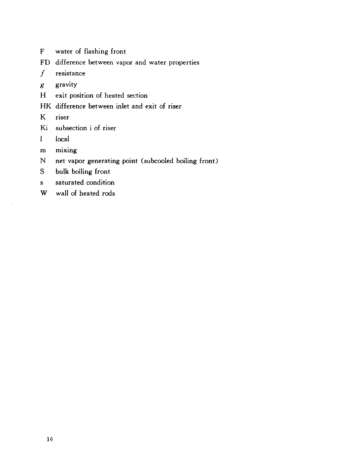- F water of flashing front
- FD difference between vapor and water properties
- $f$  resistance
- *g* gravity
- H exit position of heated section
- HK difference between inlet and exit of riser
- K riser
- Ki subsection i of riser
- 1 local
- m mixing
- N net vapor generating point (subcooled boiling front)
- S bulk boiling front
- s saturated condition
- W wall of heated rods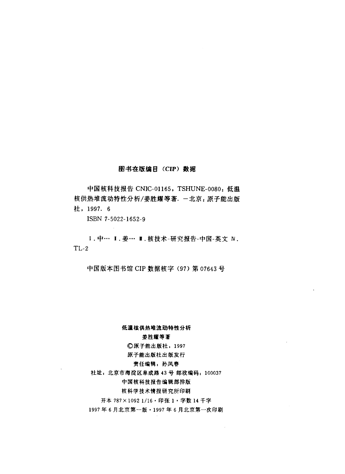#### 图书在版编目 (CIP) 数据

中国核科技报告 CNIC-01165, TSHUNE-0080: 低温 核供热堆流动特性分析/姜胜耀等著. 一北京: 原子能出版 tt, 1997. 6

ISBN 7-5022-1652-9

Ⅰ. 中… Ⅰ. 姜… ■. 核技术-研究报告-中国-英文 N. TL-2

中国版本图书馆 CIP 数据核字 (97) 第 07643 号

#### 低温核供热堆流动特性分析

#### 姜胜耀等著

#### **©原子能出版社, 1997**

#### 原子能出版社出版发行

#### 责任编辑: 孙凤春

社址: 北京市海淀区阜成路 43号 邮政编码: 100037

#### 中国核科技报告编辑部排版

#### 核科学技术情报研究所印刷

开本 787×1092 1/16 · 印张 1 · 字数 14 千字

1997年6月北京第一版·1997年6月北京第一次印刷